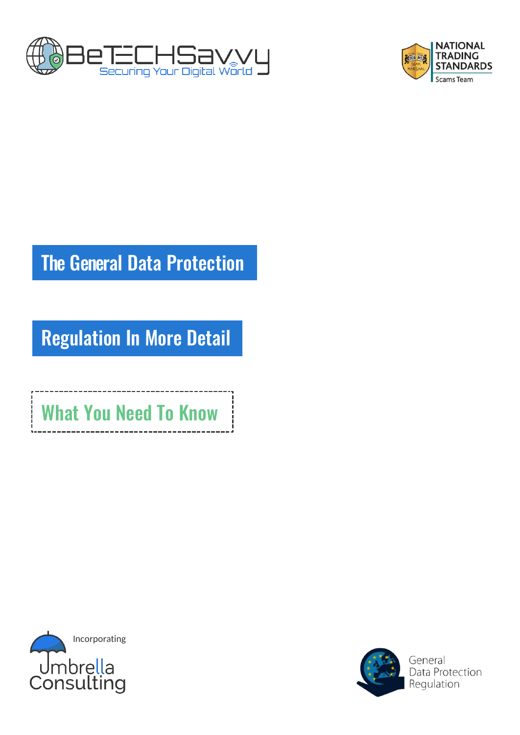



# The General Data Protection

Regulation In More Detail

What You Need To Know



 $\frac{1}{2}$ 

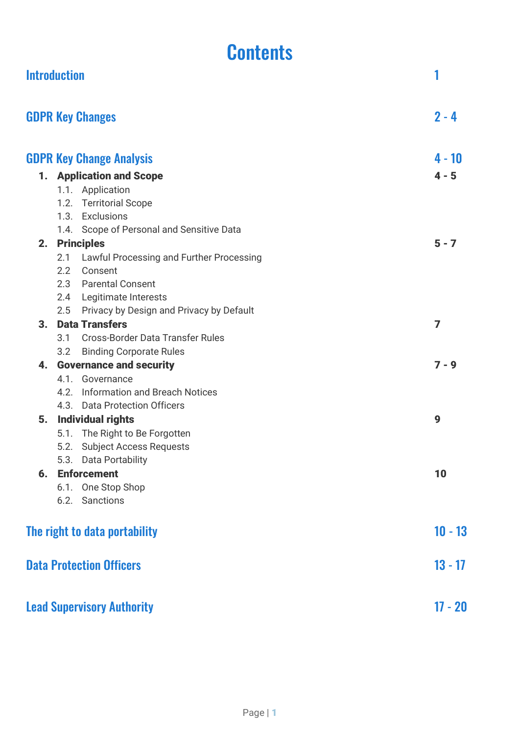# **Contents**

|    | <b>Introduction</b> |                                           | 1         |
|----|---------------------|-------------------------------------------|-----------|
|    |                     | <b>GDPR Key Changes</b>                   | $2 - 4$   |
|    |                     | <b>GDPR Key Change Analysis</b>           | 4 - 10    |
|    |                     | <b>1. Application and Scope</b>           | $4 - 5$   |
|    |                     | 1.1. Application                          |           |
|    |                     | 1.2. Territorial Scope                    |           |
|    |                     | 1.3. Exclusions                           |           |
|    |                     | 1.4. Scope of Personal and Sensitive Data |           |
|    |                     | 2. Principles                             | $5 - 7$   |
|    | 2.1                 | Lawful Processing and Further Processing  |           |
|    | 2.2                 | Consent                                   |           |
|    |                     | 2.3 Parental Consent                      |           |
|    | 2.4                 | Legitimate Interests                      |           |
|    | 2.5                 | Privacy by Design and Privacy by Default  |           |
| 3. |                     | <b>Data Transfers</b>                     | 7         |
|    | 3.1                 | <b>Cross-Border Data Transfer Rules</b>   |           |
|    | 3.2                 | <b>Binding Corporate Rules</b>            |           |
| 4. |                     | <b>Governance and security</b>            | $7 - 9$   |
|    |                     | 4.1. Governance                           |           |
|    | 4.2.                | <b>Information and Breach Notices</b>     |           |
|    |                     | 4.3. Data Protection Officers             |           |
| 5. |                     | <b>Individual rights</b>                  | 9         |
|    |                     | 5.1. The Right to Be Forgotten            |           |
|    | 5.2.                | <b>Subject Access Requests</b>            |           |
|    |                     | 5.3. Data Portability                     |           |
|    |                     | <b>6.</b> Enforcement                     | 10        |
|    |                     | 6.1. One Stop Shop                        |           |
|    |                     | 6.2. Sanctions                            |           |
|    |                     | The right to data portability             | $10 - 13$ |
|    |                     | <b>Data Protection Officers</b>           | $13 - 17$ |
|    |                     | <b>Lead Supervisory Authority</b>         | $17 - 20$ |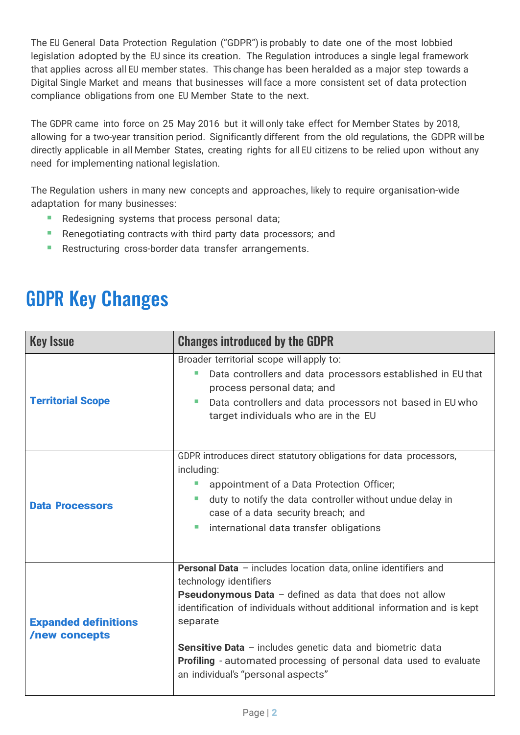The EU General Data Protection Regulation ("GDPR")is probably to date one of the most lobbied legislation adopted by the EU since its creation. The Regulation introduces a single legal framework that applies across all EU member states. This change has been heralded as a major step towards a Digital Single Market and means that businesses willface a more consistent set of data protection compliance obligations from one EU Member State to the next.

The GDPR came into force on 25 May 2016 but it will only take effect for Member States by 2018, allowing for a two-year transition period. Significantly different from the old regulations, the GDPR will be directly applicable in all Member States, creating rights for all EU citizens to be relied upon without any need for implementing national legislation.

The Regulation ushers in many new concepts and approaches, likely to require organisation-wide adaptation for many businesses:

- Redesigning systems that process personal data;
- Renegotiating contracts with third party data processors; and
- Restructuring cross-border data transfer arrangements.

# GDPR Key Changes

| <b>Key Issue</b>                             | <b>Changes introduced by the GDPR</b>                                                                                                                                                                                                                                                                                                                                                                                                       |  |
|----------------------------------------------|---------------------------------------------------------------------------------------------------------------------------------------------------------------------------------------------------------------------------------------------------------------------------------------------------------------------------------------------------------------------------------------------------------------------------------------------|--|
| <b>Territorial Scope</b>                     | Broader territorial scope will apply to:<br>Data controllers and data processors established in EU that<br>process personal data; and<br>Data controllers and data processors not based in EU who<br>target individuals who are in the EU                                                                                                                                                                                                   |  |
| <b>Data Processors</b>                       | GDPR introduces direct statutory obligations for data processors,<br>including:<br>appointment of a Data Protection Officer;<br>ш<br>duty to notify the data controller without undue delay in<br>×.<br>case of a data security breach; and<br>international data transfer obligations<br>$\mathcal{L}_{\mathcal{A}}$                                                                                                                       |  |
| <b>Expanded definitions</b><br>/new concepts | Personal Data - includes location data, online identifiers and<br>technology identifiers<br><b>Pseudonymous Data</b> $-$ defined as data that does not allow<br>identification of individuals without additional information and is kept<br>separate<br><b>Sensitive Data</b> - includes genetic data and biometric data<br><b>Profiling</b> - automated processing of personal data used to evaluate<br>an individual's "personal aspects" |  |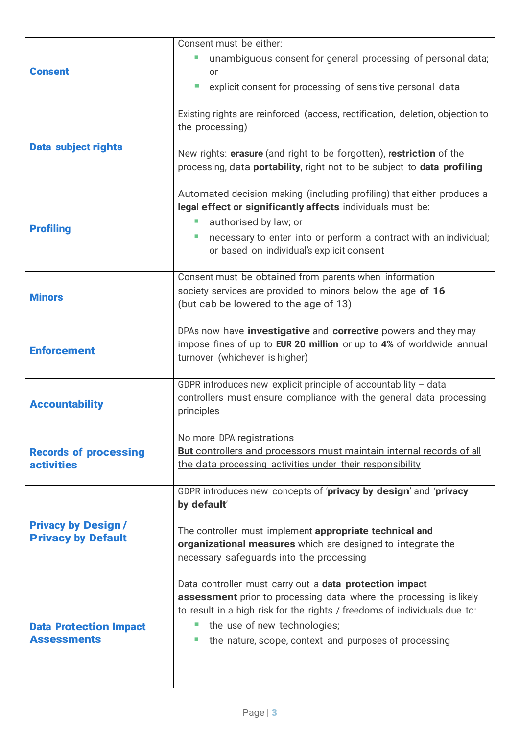|                               | Consent must be either:                                                       |
|-------------------------------|-------------------------------------------------------------------------------|
|                               | unambiguous consent for general processing of personal data;                  |
| <b>Consent</b>                | <b>or</b>                                                                     |
|                               | explicit consent for processing of sensitive personal data<br>T.              |
|                               |                                                                               |
|                               | Existing rights are reinforced (access, rectification, deletion, objection to |
|                               | the processing)                                                               |
| <b>Data subject rights</b>    |                                                                               |
|                               | New rights: erasure (and right to be forgotten), restriction of the           |
|                               | processing, data portability, right not to be subject to data profiling       |
|                               |                                                                               |
|                               | Automated decision making (including profiling) that either produces a        |
|                               | legal effect or significantly affects individuals must be:                    |
| <b>Profiling</b>              | authorised by law; or                                                         |
|                               | necessary to enter into or perform a contract with an individual;<br>×        |
|                               | or based on individual's explicit consent                                     |
|                               | Consent must be obtained from parents when information                        |
|                               | society services are provided to minors below the age of 16                   |
| <b>Minors</b>                 | (but cab be lowered to the age of 13)                                         |
|                               |                                                                               |
|                               | DPAs now have investigative and corrective powers and they may                |
| <b>Enforcement</b>            | impose fines of up to EUR 20 million or up to 4% of worldwide annual          |
|                               | turnover (whichever is higher)                                                |
|                               |                                                                               |
|                               | GDPR introduces new explicit principle of accountability $-$ data             |
| <b>Accountability</b>         | controllers must ensure compliance with the general data processing           |
|                               | principles                                                                    |
|                               | No more DPA registrations                                                     |
| <b>Records of processing</b>  | <b>But</b> controllers and processors must maintain internal records of all   |
| <b>activities</b>             | the data processing activities under their responsibility                     |
|                               |                                                                               |
|                               | GDPR introduces new concepts of 'privacy by design' and 'privacy              |
|                               | by default'                                                                   |
| <b>Privacy by Design/</b>     |                                                                               |
| <b>Privacy by Default</b>     | The controller must implement appropriate technical and                       |
|                               | organizational measures which are designed to integrate the                   |
|                               | necessary safeguards into the processing                                      |
|                               | Data controller must carry out a data protection impact                       |
|                               | assessment prior to processing data where the processing is likely            |
|                               | to result in a high risk for the rights / freedoms of individuals due to:     |
| <b>Data Protection Impact</b> | the use of new technologies;                                                  |
| <b>Assessments</b>            | the nature, scope, context and purposes of processing                         |
|                               |                                                                               |
|                               |                                                                               |
|                               |                                                                               |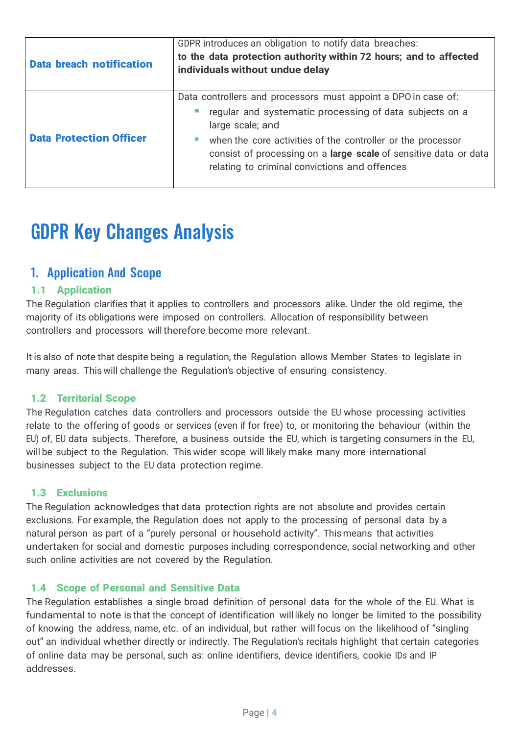| <b>Data breach notification</b> | GDPR introduces an obligation to notify data breaches:<br>to the data protection authority within 72 hours; and to affected<br>individuals without undue delay                                                                                                                                                                    |
|---------------------------------|-----------------------------------------------------------------------------------------------------------------------------------------------------------------------------------------------------------------------------------------------------------------------------------------------------------------------------------|
| <b>Data Protection Officer</b>  | Data controllers and processors must appoint a DPO in case of:<br>regular and systematic processing of data subjects on a<br>large scale; and<br>when the core activities of the controller or the processor<br>consist of processing on a large scale of sensitive data or data<br>relating to criminal convictions and offences |

# GDPR Key Changes Analysis

# 1. Application And Scope

# 1.1 Application

The Regulation clarifies that it applies to controllers and processors alike. Under the old regime, the majority of its obligations were imposed on controllers. Allocation of responsibility between controllers and processors will therefore become more relevant.

It is also of note that despite being a regulation, the Regulation allows Member States to legislate in many areas. This will challenge the Regulation's objective of ensuring consistency.

### 1.2 Territorial Scope

The Regulation catches data controllers and processors outside the EU whose processing activities relate to the offering of goods or services (even if for free) to, or monitoring the behaviour (within the EU) of, EU data subjects. Therefore, a business outside the EU, which is targeting consumers in the EU, will be subject to the Regulation. This wider scope will likely make many more international businesses subject to the EU data protection regime.

### 1.3 Exclusions

The Regulation acknowledges that data protection rights are not absolute and provides certain exclusions. For example, the Regulation does not apply to the processing of personal data by a natural person as part of a "purely personal or household activity". This means that activities undertaken for social and domestic purposes including correspondence, social networking and other such online activities are not covered by the Regulation.

### 1.4 Scope of Personal and Sensitive Data

The Regulation establishes a single broad definition of personal data for the whole of the EU. What is fundamental to note is that the concept of identification will likely no longer be limited to the possibility of knowing the address, name, etc. of an individual, but rather willfocus on the likelihood of "singling out" an individual whether directly or indirectly. The Regulation's recitals highlight that certain categories of online data may be personal, such as: online identifiers, device identifiers, cookie IDs and IP addresses.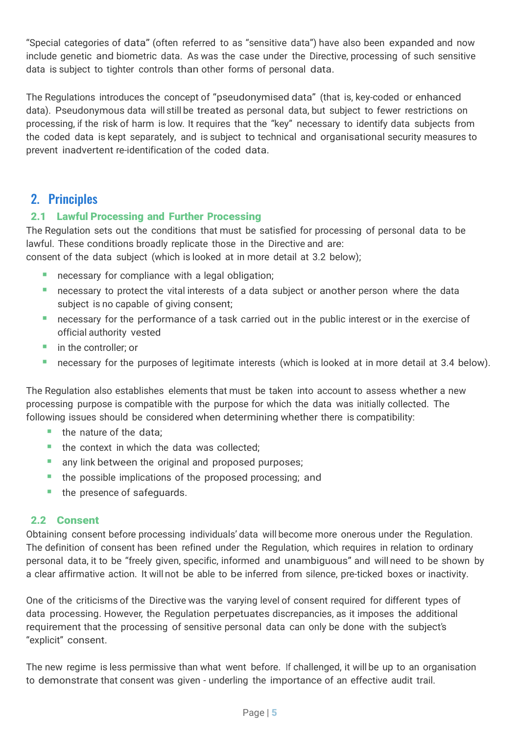"Special categories of data" (often referred to as "sensitive data") have also been expanded and now include genetic and biometric data. As was the case under the Directive, processing of such sensitive data is subject to tighter controls than other forms of personal data.

The Regulations introduces the concept of "pseudonymised data" (that is, key-coded or enhanced data). Pseudonymous data will still be treated as personal data, but subject to fewer restrictions on processing, if the risk of harm is low. It requires that the "key" necessary to identify data subjects from the coded data is kept separately, and is subject to technical and organisational security measures to prevent inadvertent re-identification of the coded data.

# 2. Principles

# 2.1 Lawful Processing and Further Processing

The Regulation sets out the conditions that must be satisfied for processing of personal data to be lawful. These conditions broadly replicate those in the Directive and are:

consent of the data subject (which is looked at in more detail at 3.2 below);

- **EXEC** necessary for compliance with a legal obligation;
- **EXP** necessary to protect the vital interests of a data subject or another person where the data subject is no capable of giving consent;
- necessary for the performance of a task carried out in the public interest or in the exercise of official authority vested
- in the controller; or
- necessary for the purposes of legitimate interests (which is looked at in more detail at 3.4 below).

The Regulation also establishes elements that must be taken into account to assess whether a new processing purpose is compatible with the purpose for which the data was initially collected. The following issues should be considered when determining whether there is compatibility:

- $\blacksquare$  the nature of the data;
- the context in which the data was collected;
- any link between the original and proposed purposes;
- the possible implications of the proposed processing; and
- the presence of safeguards.

### 2.2 Consent

Obtaining consent before processing individuals' data will become more onerous under the Regulation. The definition of consent has been refined under the Regulation, which requires in relation to ordinary personal data, it to be "freely given, specific, informed and unambiguous" and will need to be shown by a clear affirmative action. It will not be able to be inferred from silence, pre-ticked boxes or inactivity.

One of the criticisms of the Directive was the varying level of consent required for different types of data processing. However, the Regulation perpetuates discrepancies, as it imposes the additional requirement that the processing of sensitive personal data can only be done with the subject's "explicit" consent.

The new regime is less permissive than what went before. If challenged, it will be up to an organisation to demonstrate that consent was given - underling the importance of an effective audit trail.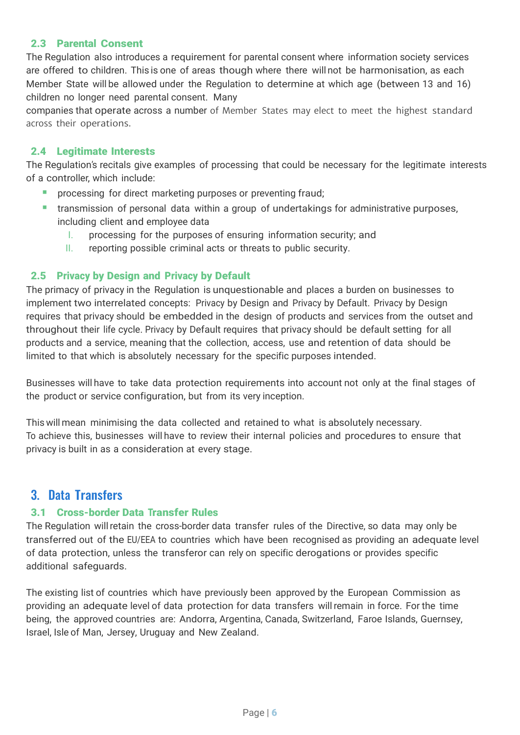### 2.3 Parental Consent

The Regulation also introduces a requirement for parental consent where information society services are offered to children. This is one of areas though where there will not be harmonisation, as each Member State will be allowed under the Regulation to determine at which age (between 13 and 16) children no longer need parental consent. Many

companies that operate across a number of Member States may elect to meet the highest standard across their operations.

#### 2.4 Legitimate Interests

The Regulation's recitals give examples of processing that could be necessary for the legitimate interests of a controller, which include:

- processing for direct marketing purposes or preventing fraud;
- transmission of personal data within a group of undertakings for administrative purposes, including client and employee data
	- I. processing for the purposes of ensuring information security; and
	- II. reporting possible criminal acts or threats to public security.

#### 2.5 Privacy by Design and Privacy by Default

The primacy of privacy in the Regulation is unquestionable and places a burden on businesses to implement two interrelated concepts: Privacy by Design and Privacy by Default. Privacy by Design requires that privacy should be embedded in the design of products and services from the outset and throughout their life cycle. Privacy by Default requires that privacy should be default setting for all products and a service, meaning that the collection, access, use and retention of data should be limited to that which is absolutely necessary for the specific purposes intended.

Businesses will have to take data protection requirements into account not only at the final stages of the product or service configuration, but from its very inception.

This will mean minimising the data collected and retained to what is absolutely necessary. To achieve this, businesses will have to review their internal policies and procedures to ensure that privacy is built in as a consideration at every stage.

# 3. Data Transfers

### 3.1 Cross-border Data Transfer Rules

The Regulation will retain the cross-border data transfer rules of the Directive, so data may only be transferred out of the EU/EEA to countries which have been recognised as providing an adequate level of data protection, unless the transferor can rely on specific derogations or provides specific additional safeguards.

The existing list of countries which have previously been approved by the European Commission as providing an adequate level of data protection for data transfers willremain in force. For the time being, the approved countries are: Andorra, Argentina, Canada, Switzerland, Faroe Islands, Guernsey, Israel, Isle of Man, Jersey, Uruguay and New Zealand.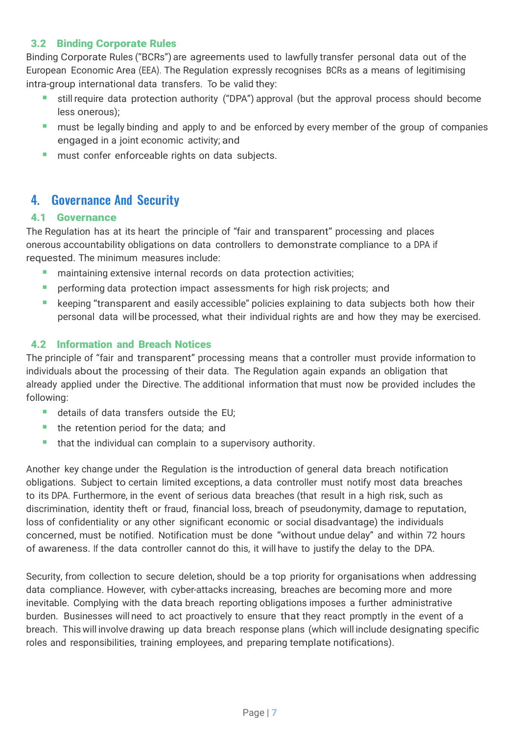## 3.2 Binding Corporate Rules

Binding Corporate Rules ("BCRs") are agreements used to lawfully transfer personal data out of the European Economic Area (EEA). The Regulation expressly recognises BCRs as a means of legitimising intra-group international data transfers. To be valid they:

- still require data protection authority ("DPA") approval (but the approval process should become less onerous);
- must be legally binding and apply to and be enforced by every member of the group of companies engaged in a joint economic activity; and
- **■** must confer enforceable rights on data subjects.

# 4. Governance And Security

## 4.1 Governance

The Regulation has at its heart the principle of "fair and transparent" processing and places onerous accountability obligations on data controllers to demonstrate compliance to a DPA if requested. The minimum measures include:

- maintaining extensive internal records on data protection activities;
- **•** performing data protection impact assessments for high risk projects; and
- keeping "transparent and easily accessible" policies explaining to data subjects both how their personal data will be processed, what their individual rights are and how they may be exercised.

## 4.2 Information and Breach Notices

The principle of "fair and transparent" processing means that a controller must provide information to individuals about the processing of their data. The Regulation again expands an obligation that already applied under the Directive. The additional information that must now be provided includes the following:

- details of data transfers outside the EU;
- the retention period for the data; and
- **•** that the individual can complain to a supervisory authority.

Another key change under the Regulation is the introduction of general data breach notification obligations. Subject to certain limited exceptions, a data controller must notify most data breaches to its DPA. Furthermore, in the event of serious data breaches (that result in a high risk, such as discrimination, identity theft or fraud, financial loss, breach of pseudonymity, damage to reputation, loss of confidentiality or any other significant economic or social disadvantage) the individuals concerned, must be notified. Notification must be done "without undue delay" and within 72 hours of awareness. If the data controller cannot do this, it will have to justify the delay to the DPA.

Security, from collection to secure deletion, should be a top priority for organisations when addressing data compliance. However, with cyber-attacks increasing, breaches are becoming more and more inevitable. Complying with the data breach reporting obligations imposes a further administrative burden. Businesses will need to act proactively to ensure that they react promptly in the event of a breach. This will involve drawing up data breach response plans (which will include designating specific roles and responsibilities, training employees, and preparing template notifications).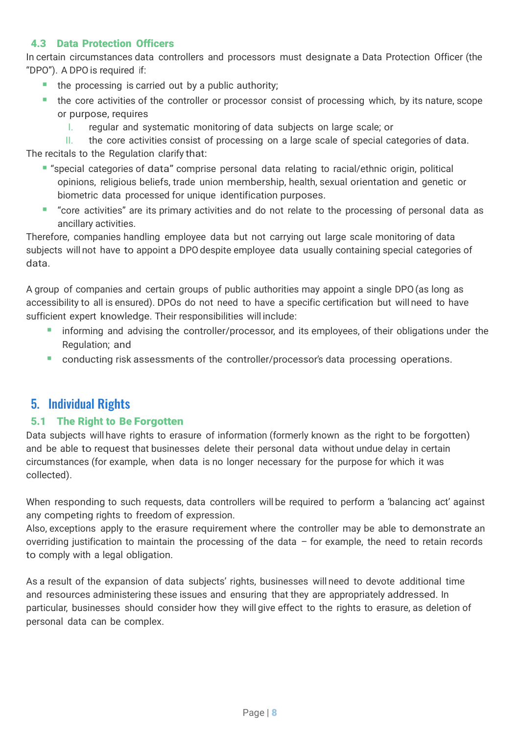## 4.3 Data Protection Officers

In certain circumstances data controllers and processors must designate a Data Protection Officer (the "DPO"). A DPOis required if:

- the processing is carried out by a public authority;
- the core activities of the controller or processor consist of processing which, by its nature, scope or purpose, requires
	- I. regular and systematic monitoring of data subjects on large scale; or

II. the core activities consist of processing on a large scale of special categories of data. The recitals to the Regulation clarify that:

- "special categories of data" comprise personal data relating to racial/ethnic origin, political opinions, religious beliefs, trade union membership, health, sexual orientation and genetic or biometric data processed for unique identification purposes.
- "core activities" are its primary activities and do not relate to the processing of personal data as ancillary activities.

Therefore, companies handling employee data but not carrying out large scale monitoring of data subjects will not have to appoint a DPO despite employee data usually containing special categories of data.

A group of companies and certain groups of public authorities may appoint a single DPO(as long as accessibility to all is ensured). DPOs do not need to have a specific certification but will need to have sufficient expert knowledge. Their responsibilities will include:

- informing and advising the controller/processor, and its employees, of their obligations under the Regulation; and
- **•** conducting risk assessments of the controller/processor's data processing operations.

# 5. Individual Rights

# 5.1 The Right to Be Forgotten

Data subjects will have rights to erasure of information (formerly known as the right to be forgotten) and be able to request that businesses delete their personal data without undue delay in certain circumstances (for example, when data is no longer necessary for the purpose for which it was collected).

When responding to such requests, data controllers will be required to perform a 'balancing act' against any competing rights to freedom of expression.

Also, exceptions apply to the erasure requirement where the controller may be able to demonstrate an overriding justification to maintain the processing of the data – for example, the need to retain records to comply with a legal obligation.

As a result of the expansion of data subjects' rights, businesses will need to devote additional time and resources administering these issues and ensuring that they are appropriately addressed. In particular, businesses should consider how they will give effect to the rights to erasure, as deletion of personal data can be complex.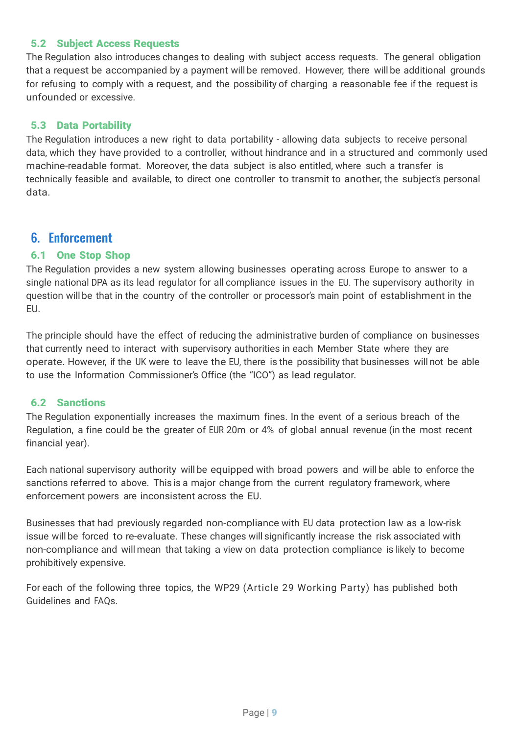#### 5.2 Subject Access Requests

The Regulation also introduces changes to dealing with subject access requests. The general obligation that a request be accompanied by a payment will be removed. However, there will be additional grounds for refusing to comply with a request, and the possibility of charging a reasonable fee if the request is unfounded or excessive.

## 5.3 Data Portability

The Regulation introduces a new right to data portability - allowing data subjects to receive personal data, which they have provided to a controller, without hindrance and in a structured and commonly used machine-readable format. Moreover, the data subject is also entitled, where such a transfer is technically feasible and available, to direct one controller to transmit to another, the subject's personal data.

# 6. Enforcement

### 6.1 One Stop Shop

The Regulation provides a new system allowing businesses operating across Europe to answer to a single national DPA as its lead regulator for all compliance issues in the EU. The supervisory authority in question will be that in the country of the controller or processor's main point of establishment in the EU.

The principle should have the effect of reducing the administrative burden of compliance on businesses that currently need to interact with supervisory authorities in each Member State where they are operate. However, if the UK were to leave the EU, there is the possibility that businesses will not be able to use the Information Commissioner's Office (the "ICO") as lead regulator.

### 6.2 Sanctions

The Regulation exponentially increases the maximum fines. In the event of a serious breach of the Regulation, a fine could be the greater of EUR 20m or 4% of global annual revenue (in the most recent financial year).

Each national supervisory authority will be equipped with broad powers and will be able to enforce the sanctions referred to above. This is a major change from the current regulatory framework, where enforcement powers are inconsistent across the EU.

Businesses that had previously regarded non-compliance with EU data protection law as a low-risk issue will be forced to re-evaluate. These changes will significantly increase the risk associated with non-compliance and will mean that taking a view on data protection compliance is likely to become prohibitively expensive.

For each of the following three topics, the WP29 (Article 29 Working Party) has published both Guidelines and FAQs.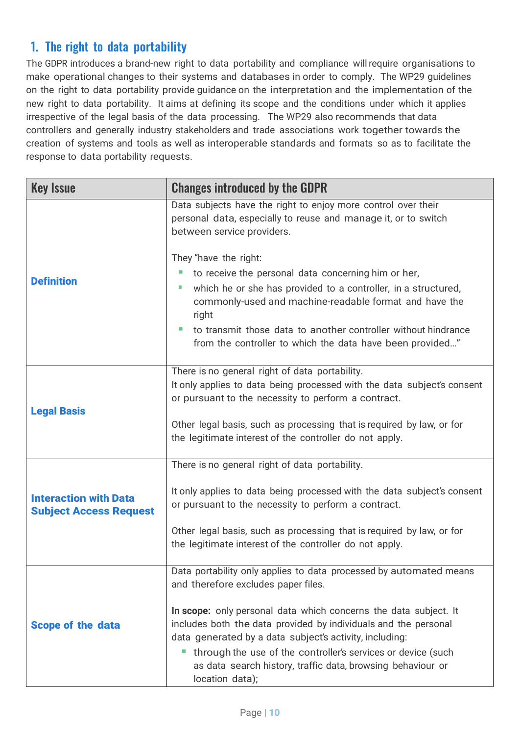# 1. The right to data portability

The GDPR introduces a brand-new right to data portability and compliance willrequire organisations to make operational changes to their systems and databases in order to comply. The WP29 guidelines on the right to data portability provide guidance on the interpretation and the implementation of the new right to data portability. It aims at defining its scope and the conditions under which it applies irrespective of the legal basis of the data processing. The WP29 also recommends that data controllers and generally industry stakeholders and trade associations work together towards the creation of systems and tools as well as interoperable standards and formats so as to facilitate the response to data portability requests.

| <b>Key Issue</b>                                              | <b>Changes introduced by the GDPR</b>                                                                                                                                                                                                                                                                                                                                                                                                                              |
|---------------------------------------------------------------|--------------------------------------------------------------------------------------------------------------------------------------------------------------------------------------------------------------------------------------------------------------------------------------------------------------------------------------------------------------------------------------------------------------------------------------------------------------------|
|                                                               | Data subjects have the right to enjoy more control over their<br>personal data, especially to reuse and manage it, or to switch<br>between service providers.                                                                                                                                                                                                                                                                                                      |
| <b>Definition</b>                                             | They "have the right:<br>to receive the personal data concerning him or her,<br>which he or she has provided to a controller, in a structured,<br>×<br>commonly-used and machine-readable format and have the<br>right<br>to transmit those data to another controller without hindrance<br>from the controller to which the data have been provided"                                                                                                              |
| <b>Legal Basis</b>                                            | There is no general right of data portability.<br>It only applies to data being processed with the data subject's consent<br>or pursuant to the necessity to perform a contract.<br>Other legal basis, such as processing that is required by law, or for<br>the legitimate interest of the controller do not apply.                                                                                                                                               |
| <b>Interaction with Data</b><br><b>Subject Access Request</b> | There is no general right of data portability.<br>It only applies to data being processed with the data subject's consent<br>or pursuant to the necessity to perform a contract.<br>Other legal basis, such as processing that is required by law, or for<br>the legitimate interest of the controller do not apply.                                                                                                                                               |
| <b>Scope of the data</b>                                      | Data portability only applies to data processed by automated means<br>and therefore excludes paper files.<br>In scope: only personal data which concerns the data subject. It<br>includes both the data provided by individuals and the personal<br>data generated by a data subject's activity, including:<br>through the use of the controller's services or device (such<br>ш<br>as data search history, traffic data, browsing behaviour or<br>location data); |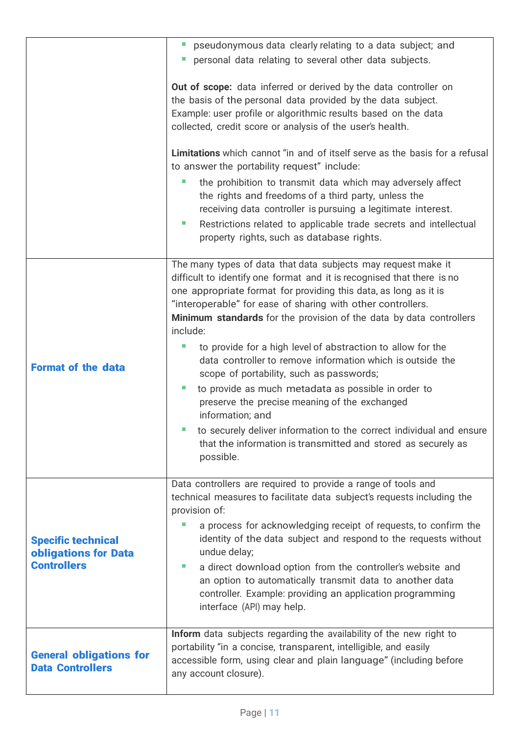|                                                                         | " pseudonymous data clearly relating to a data subject; and                                                                                                                                                                                                                                                                                                                                                                                                                                                                                                                                                                                                                                                                                                                                                                          |
|-------------------------------------------------------------------------|--------------------------------------------------------------------------------------------------------------------------------------------------------------------------------------------------------------------------------------------------------------------------------------------------------------------------------------------------------------------------------------------------------------------------------------------------------------------------------------------------------------------------------------------------------------------------------------------------------------------------------------------------------------------------------------------------------------------------------------------------------------------------------------------------------------------------------------|
|                                                                         | personal data relating to several other data subjects.<br>$\Box$                                                                                                                                                                                                                                                                                                                                                                                                                                                                                                                                                                                                                                                                                                                                                                     |
|                                                                         | Out of scope: data inferred or derived by the data controller on<br>the basis of the personal data provided by the data subject.<br>Example: user profile or algorithmic results based on the data<br>collected, credit score or analysis of the user's health.                                                                                                                                                                                                                                                                                                                                                                                                                                                                                                                                                                      |
|                                                                         | Limitations which cannot "in and of itself serve as the basis for a refusal<br>to answer the portability request" include:                                                                                                                                                                                                                                                                                                                                                                                                                                                                                                                                                                                                                                                                                                           |
|                                                                         | the prohibition to transmit data which may adversely affect<br>×.<br>the rights and freedoms of a third party, unless the<br>receiving data controller is pursuing a legitimate interest.<br>Restrictions related to applicable trade secrets and intellectual<br>$\mathcal{L}_{\mathcal{A}}$                                                                                                                                                                                                                                                                                                                                                                                                                                                                                                                                        |
|                                                                         | property rights, such as database rights.                                                                                                                                                                                                                                                                                                                                                                                                                                                                                                                                                                                                                                                                                                                                                                                            |
| <b>Format of the data</b>                                               | The many types of data that data subjects may request make it<br>difficult to identify one format and it is recognised that there is no<br>one appropriate format for providing this data, as long as it is<br>"interoperable" for ease of sharing with other controllers.<br>Minimum standards for the provision of the data by data controllers<br>include:<br>to provide for a high level of abstraction to allow for the<br>T.<br>data controller to remove information which is outside the<br>scope of portability, such as passwords;<br>to provide as much metadata as possible in order to<br>×.<br>preserve the precise meaning of the exchanged<br>information; and<br>to securely deliver information to the correct individual and ensure<br>that the information is transmitted and stored as securely as<br>possible. |
| <b>Specific technical</b><br>obligations for Data<br><b>Controllers</b> | Data controllers are required to provide a range of tools and<br>technical measures to facilitate data subject's requests including the<br>provision of:<br>a process for acknowledging receipt of requests, to confirm the<br>T.<br>identity of the data subject and respond to the requests without<br>undue delay;<br>a direct download option from the controller's website and<br>m.<br>an option to automatically transmit data to another data<br>controller. Example: providing an application programming<br>interface (API) may help.                                                                                                                                                                                                                                                                                      |
| <b>General obligations for</b><br><b>Data Controllers</b>               | Inform data subjects regarding the availability of the new right to<br>portability "in a concise, transparent, intelligible, and easily<br>accessible form, using clear and plain language" (including before<br>any account closure).                                                                                                                                                                                                                                                                                                                                                                                                                                                                                                                                                                                               |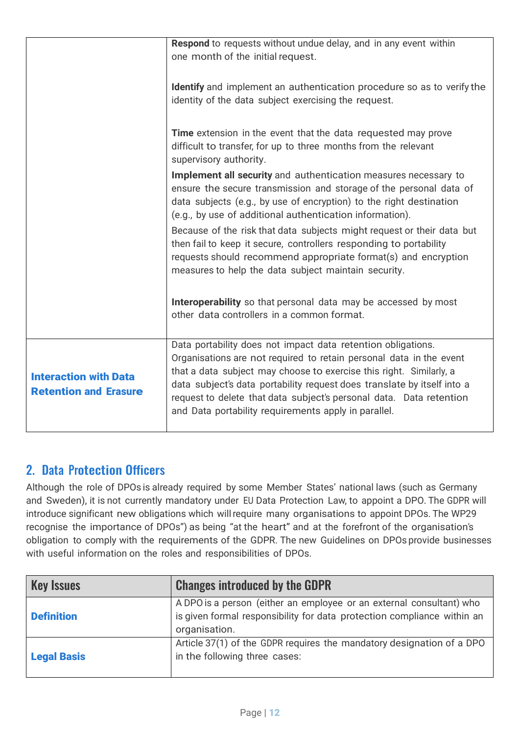|                                                              | Respond to requests without undue delay, and in any event within<br>one month of the initial request.                                                                                                                                                                                                                                                                                                                |
|--------------------------------------------------------------|----------------------------------------------------------------------------------------------------------------------------------------------------------------------------------------------------------------------------------------------------------------------------------------------------------------------------------------------------------------------------------------------------------------------|
|                                                              | Identify and implement an authentication procedure so as to verify the<br>identity of the data subject exercising the request.                                                                                                                                                                                                                                                                                       |
|                                                              | Time extension in the event that the data requested may prove<br>difficult to transfer, for up to three months from the relevant<br>supervisory authority.                                                                                                                                                                                                                                                           |
|                                                              | Implement all security and authentication measures necessary to<br>ensure the secure transmission and storage of the personal data of<br>data subjects (e.g., by use of encryption) to the right destination<br>(e.g., by use of additional authentication information).                                                                                                                                             |
|                                                              | Because of the risk that data subjects might request or their data but<br>then fail to keep it secure, controllers responding to portability<br>requests should recommend appropriate format(s) and encryption<br>measures to help the data subject maintain security.                                                                                                                                               |
|                                                              | Interoperability so that personal data may be accessed by most<br>other data controllers in a common format.                                                                                                                                                                                                                                                                                                         |
| <b>Interaction with Data</b><br><b>Retention and Erasure</b> | Data portability does not impact data retention obligations.<br>Organisations are not required to retain personal data in the event<br>that a data subject may choose to exercise this right. Similarly, a<br>data subject's data portability request does translate by itself into a<br>request to delete that data subject's personal data. Data retention<br>and Data portability requirements apply in parallel. |

# 2. Data Protection Officers

Although the role of DPOs is already required by some Member States' national laws (such as Germany and Sweden), it is not currently mandatory under EU Data Protection Law, to appoint a DPO. The GDPR will introduce significant new obligations which willrequire many organisations to appoint DPOs. The WP29 recognise the importance of DPOs") as being "at the heart" and at the forefront of the organisation's obligation to comply with the requirements of the GDPR. The new Guidelines on DPOs provide businesses with useful information on the roles and responsibilities of DPOs.

| <b>Key Issues</b>  | <b>Changes introduced by the GDPR</b>                                                                                                                            |
|--------------------|------------------------------------------------------------------------------------------------------------------------------------------------------------------|
| <b>Definition</b>  | A DPO is a person (either an employee or an external consultant) who<br>is given formal responsibility for data protection compliance within an<br>organisation. |
| <b>Legal Basis</b> | Article 37(1) of the GDPR requires the mandatory designation of a DPO<br>in the following three cases:                                                           |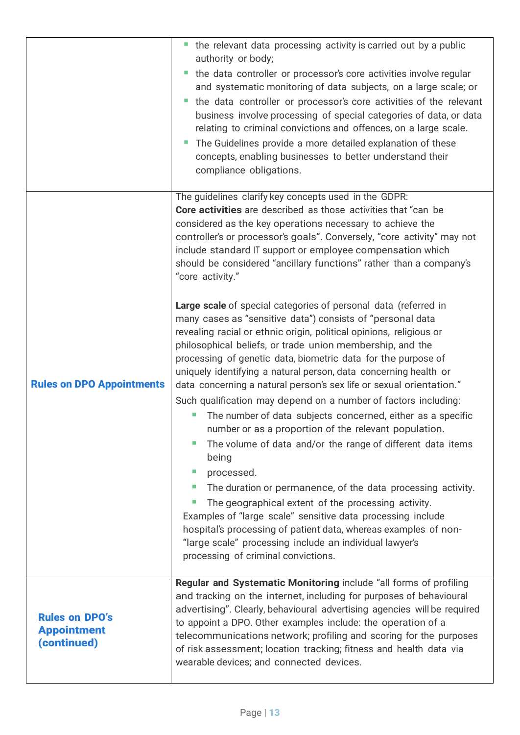|                                                            | the relevant data processing activity is carried out by a public<br>authority or body;<br>the data controller or processor's core activities involve regular<br>and systematic monitoring of data subjects, on a large scale; or<br>the data controller or processor's core activities of the relevant<br>business involve processing of special categories of data, or data<br>relating to criminal convictions and offences, on a large scale.<br>The Guidelines provide a more detailed explanation of these<br>concepts, enabling businesses to better understand their<br>compliance obligations.                                                                                                                                                                                                                                                                                                                                                       |
|------------------------------------------------------------|--------------------------------------------------------------------------------------------------------------------------------------------------------------------------------------------------------------------------------------------------------------------------------------------------------------------------------------------------------------------------------------------------------------------------------------------------------------------------------------------------------------------------------------------------------------------------------------------------------------------------------------------------------------------------------------------------------------------------------------------------------------------------------------------------------------------------------------------------------------------------------------------------------------------------------------------------------------|
|                                                            | The guidelines clarify key concepts used in the GDPR:<br>Core activities are described as those activities that "can be<br>considered as the key operations necessary to achieve the<br>controller's or processor's goals". Conversely, "core activity" may not<br>include standard IT support or employee compensation which<br>should be considered "ancillary functions" rather than a company's<br>"core activity."<br>Large scale of special categories of personal data (referred in<br>many cases as "sensitive data") consists of "personal data                                                                                                                                                                                                                                                                                                                                                                                                     |
| <b>Rules on DPO Appointments</b>                           | revealing racial or ethnic origin, political opinions, religious or<br>philosophical beliefs, or trade union membership, and the<br>processing of genetic data, biometric data for the purpose of<br>uniquely identifying a natural person, data concerning health or<br>data concerning a natural person's sex life or sexual orientation."<br>Such qualification may depend on a number of factors including:<br>The number of data subjects concerned, either as a specific<br>number or as a proportion of the relevant population.<br>The volume of data and/or the range of different data items<br>being<br>processed.<br>п<br>The duration or permanence, of the data processing activity.<br>×.<br>The geographical extent of the processing activity.<br>Examples of "large scale" sensitive data processing include<br>hospital's processing of patient data, whereas examples of non-<br>"large scale" processing include an individual lawyer's |
| <b>Rules on DPO's</b><br><b>Appointment</b><br>(continued) | processing of criminal convictions.<br>Regular and Systematic Monitoring include "all forms of profiling<br>and tracking on the internet, including for purposes of behavioural<br>advertising". Clearly, behavioural advertising agencies will be required<br>to appoint a DPO. Other examples include: the operation of a<br>telecommunications network; profiling and scoring for the purposes<br>of risk assessment; location tracking; fitness and health data via<br>wearable devices; and connected devices.                                                                                                                                                                                                                                                                                                                                                                                                                                          |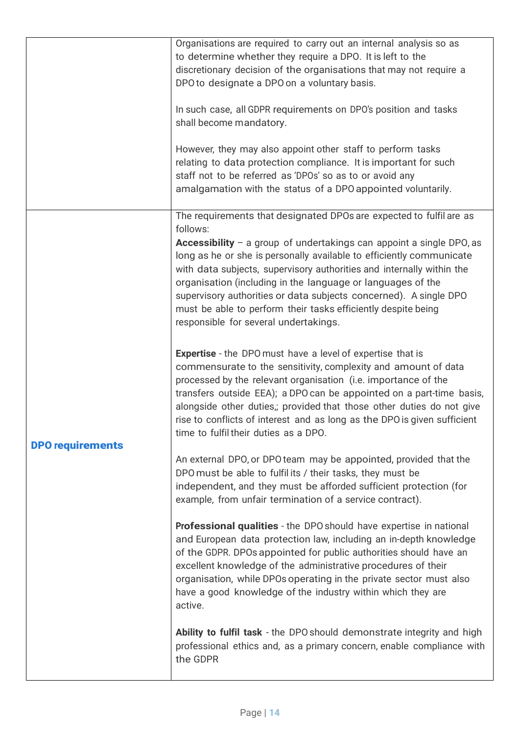|                         | Organisations are required to carry out an internal analysis so as<br>to determine whether they require a DPO. It is left to the<br>discretionary decision of the organisations that may not require a<br>DPO to designate a DPO on a voluntary basis.<br>In such case, all GDPR requirements on DPO's position and tasks<br>shall become mandatory.<br>However, they may also appoint other staff to perform tasks<br>relating to data protection compliance. It is important for such<br>staff not to be referred as 'DPOs' so as to or avoid any<br>amalgamation with the status of a DPO appointed voluntarily.                                                                                                                                                                                                                                                                                                                                                                                                                                                                                                                                                                                                                                                                                                                                                                                                                                                                                                                                                                                                                                                                                                                        |
|-------------------------|--------------------------------------------------------------------------------------------------------------------------------------------------------------------------------------------------------------------------------------------------------------------------------------------------------------------------------------------------------------------------------------------------------------------------------------------------------------------------------------------------------------------------------------------------------------------------------------------------------------------------------------------------------------------------------------------------------------------------------------------------------------------------------------------------------------------------------------------------------------------------------------------------------------------------------------------------------------------------------------------------------------------------------------------------------------------------------------------------------------------------------------------------------------------------------------------------------------------------------------------------------------------------------------------------------------------------------------------------------------------------------------------------------------------------------------------------------------------------------------------------------------------------------------------------------------------------------------------------------------------------------------------------------------------------------------------------------------------------------------------|
| <b>DPO requirements</b> | The requirements that designated DPOs are expected to fulfil are as<br>follows:<br>Accessibility $-$ a group of undertakings can appoint a single DPO, as<br>long as he or she is personally available to efficiently communicate<br>with data subjects, supervisory authorities and internally within the<br>organisation (including in the language or languages of the<br>supervisory authorities or data subjects concerned). A single DPO<br>must be able to perform their tasks efficiently despite being<br>responsible for several undertakings.<br><b>Expertise</b> - the DPO must have a level of expertise that is<br>commensurate to the sensitivity, complexity and amount of data<br>processed by the relevant organisation (i.e. importance of the<br>transfers outside EEA); a DPO can be appointed on a part-time basis,<br>alongside other duties,; provided that those other duties do not give<br>rise to conflicts of interest and as long as the DPO is given sufficient<br>time to fulfil their duties as a DPO.<br>An external DPO, or DPO team may be appointed, provided that the<br>DPO must be able to fulfilits / their tasks, they must be<br>independent, and they must be afforded sufficient protection (for<br>example, from unfair termination of a service contract).<br>Professional qualities - the DPO should have expertise in national<br>and European data protection law, including an in-depth knowledge<br>of the GDPR. DPOs appointed for public authorities should have an<br>excellent knowledge of the administrative procedures of their<br>organisation, while DPOs operating in the private sector must also<br>have a good knowledge of the industry within which they are<br>active. |
|                         | Ability to fulfil task - the DPO should demonstrate integrity and high<br>professional ethics and, as a primary concern, enable compliance with<br>the GDPR                                                                                                                                                                                                                                                                                                                                                                                                                                                                                                                                                                                                                                                                                                                                                                                                                                                                                                                                                                                                                                                                                                                                                                                                                                                                                                                                                                                                                                                                                                                                                                                |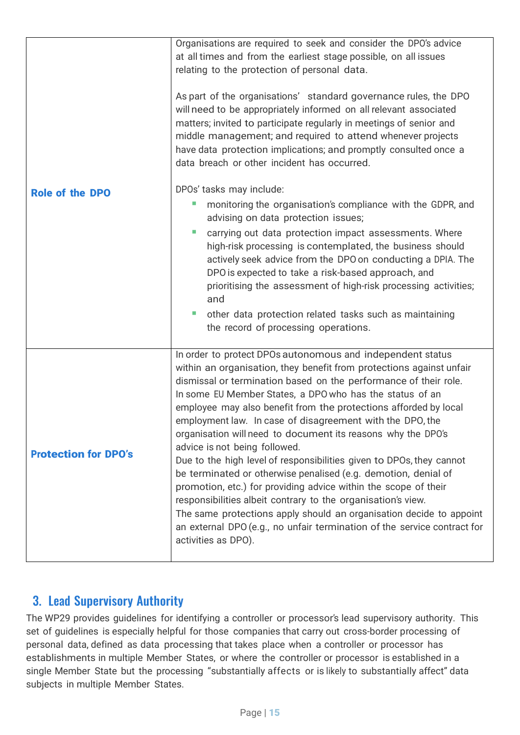|                             | Organisations are required to seek and consider the DPO's advice<br>at all times and from the earliest stage possible, on all issues<br>relating to the protection of personal data.<br>As part of the organisations' standard governance rules, the DPO<br>will need to be appropriately informed on all relevant associated<br>matters; invited to participate regularly in meetings of senior and<br>middle management; and required to attend whenever projects<br>have data protection implications; and promptly consulted once a<br>data breach or other incident has occurred.                                                                                                                                                                                                                                                                                                                                                                      |
|-----------------------------|-------------------------------------------------------------------------------------------------------------------------------------------------------------------------------------------------------------------------------------------------------------------------------------------------------------------------------------------------------------------------------------------------------------------------------------------------------------------------------------------------------------------------------------------------------------------------------------------------------------------------------------------------------------------------------------------------------------------------------------------------------------------------------------------------------------------------------------------------------------------------------------------------------------------------------------------------------------|
| <b>Role of the DPO</b>      | DPOs' tasks may include:<br>monitoring the organisation's compliance with the GDPR, and<br>ш<br>advising on data protection issues;<br>$\mathcal{C}$<br>carrying out data protection impact assessments. Where<br>high-risk processing is contemplated, the business should<br>actively seek advice from the DPO on conducting a DPIA. The<br>DPO is expected to take a risk-based approach, and<br>prioritising the assessment of high-risk processing activities;<br>and<br>other data protection related tasks such as maintaining<br>the record of processing operations.                                                                                                                                                                                                                                                                                                                                                                               |
| <b>Protection for DPO's</b> | In order to protect DPOs autonomous and independent status<br>within an organisation, they benefit from protections against unfair<br>dismissal or termination based on the performance of their role.<br>In some EU Member States, a DPO who has the status of an<br>employee may also benefit from the protections afforded by local<br>employment law. In case of disagreement with the DPO, the<br>organisation will need to document its reasons why the DPO's<br>advice is not being followed.<br>Due to the high level of responsibilities given to DPOs, they cannot<br>be terminated or otherwise penalised (e.g. demotion, denial of<br>promotion, etc.) for providing advice within the scope of their<br>responsibilities albeit contrary to the organisation's view.<br>The same protections apply should an organisation decide to appoint<br>an external DPO (e.g., no unfair termination of the service contract for<br>activities as DPO). |

# 3. Lead Supervisory Authority

The WP29 provides guidelines for identifying a controller or processor's lead supervisory authority. This set of guidelines is especially helpful for those companies that carry out cross-border processing of personal data, defined as data processing that takes place when a controller or processor has establishments in multiple Member States, or where the controller or processor is established in a single Member State but the processing "substantially affects or is likely to substantially affect" data subjects in multiple Member States.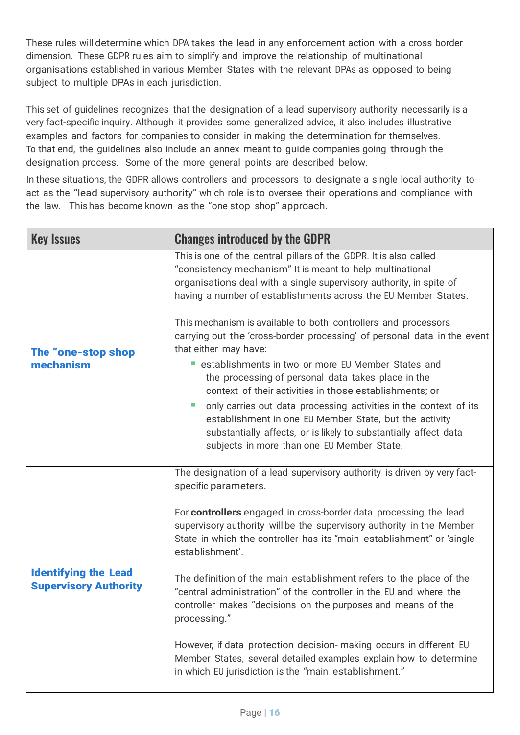These rules will determine which DPA takes the lead in any enforcement action with a cross border dimension. These GDPR rules aim to simplify and improve the relationship of multinational organisations established in various Member States with the relevant DPAs as opposed to being subject to multiple DPAs in each jurisdiction.

This set of guidelines recognizes that the designation of a lead supervisory authority necessarily is a very fact-specific inquiry. Although it provides some generalized advice, it also includes illustrative examples and factors for companies to consider in making the determination for themselves. To that end, the guidelines also include an annex meant to guide companies going through the designation process. Some of the more general points are described below.

In these situations, the GDPR allows controllers and processors to designate a single local authority to act as the "lead supervisory authority" which role is to oversee their operations and compliance with the law. This has become known as the "one stop shop" approach.

| <b>Key Issues</b>                                           | <b>Changes introduced by the GDPR</b>                                                                                                                                                                                                                                                                    |
|-------------------------------------------------------------|----------------------------------------------------------------------------------------------------------------------------------------------------------------------------------------------------------------------------------------------------------------------------------------------------------|
|                                                             | This is one of the central pillars of the GDPR. It is also called<br>"consistency mechanism" It is meant to help multinational<br>organisations deal with a single supervisory authority, in spite of<br>having a number of establishments across the EU Member States.                                  |
| The "one-stop shop                                          | This mechanism is available to both controllers and processors<br>carrying out the 'cross-border processing' of personal data in the event<br>that either may have:                                                                                                                                      |
| mechanism                                                   | establishments in two or more EU Member States and<br>the processing of personal data takes place in the                                                                                                                                                                                                 |
|                                                             | context of their activities in those establishments; or<br>only carries out data processing activities in the context of its<br>establishment in one EU Member State, but the activity<br>substantially affects, or is likely to substantially affect data<br>subjects in more than one EU Member State. |
|                                                             | The designation of a lead supervisory authority is driven by very fact-<br>specific parameters.                                                                                                                                                                                                          |
|                                                             | For controllers engaged in cross-border data processing, the lead<br>supervisory authority will be the supervisory authority in the Member<br>State in which the controller has its "main establishment" or 'single<br>establishment'.                                                                   |
| <b>Identifying the Lead</b><br><b>Supervisory Authority</b> | The definition of the main establishment refers to the place of the<br>"central administration" of the controller in the EU and where the<br>controller makes "decisions on the purposes and means of the<br>processing."                                                                                |
|                                                             | However, if data protection decision- making occurs in different EU<br>Member States, several detailed examples explain how to determine<br>in which EU jurisdiction is the "main establishment."                                                                                                        |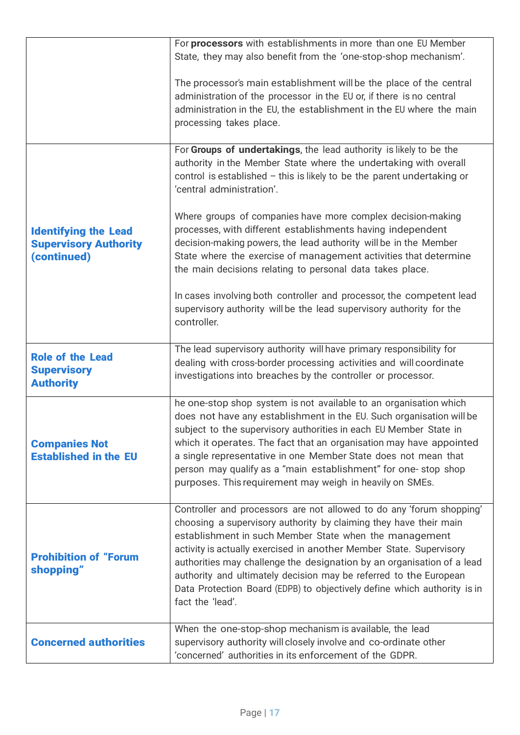|                                                                            | For processors with establishments in more than one EU Member<br>State, they may also benefit from the 'one-stop-shop mechanism'.                                                                                                                                                                                                                                                                                                                                                                                         |
|----------------------------------------------------------------------------|---------------------------------------------------------------------------------------------------------------------------------------------------------------------------------------------------------------------------------------------------------------------------------------------------------------------------------------------------------------------------------------------------------------------------------------------------------------------------------------------------------------------------|
|                                                                            | The processor's main establishment will be the place of the central<br>administration of the processor in the EU or, if there is no central<br>administration in the EU, the establishment in the EU where the main<br>processing takes place.                                                                                                                                                                                                                                                                            |
|                                                                            | For Groups of undertakings, the lead authority is likely to be the<br>authority in the Member State where the undertaking with overall<br>control is established $-$ this is likely to be the parent undertaking or<br>'central administration'.                                                                                                                                                                                                                                                                          |
| <b>Identifying the Lead</b><br><b>Supervisory Authority</b><br>(continued) | Where groups of companies have more complex decision-making<br>processes, with different establishments having independent<br>decision-making powers, the lead authority will be in the Member<br>State where the exercise of management activities that determine<br>the main decisions relating to personal data takes place.                                                                                                                                                                                           |
|                                                                            | In cases involving both controller and processor, the competent lead<br>supervisory authority will be the lead supervisory authority for the<br>controller.                                                                                                                                                                                                                                                                                                                                                               |
| <b>Role of the Lead</b><br><b>Supervisory</b><br><b>Authority</b>          | The lead supervisory authority will have primary responsibility for<br>dealing with cross-border processing activities and will coordinate<br>investigations into breaches by the controller or processor.                                                                                                                                                                                                                                                                                                                |
| <b>Companies Not</b><br><b>Established in the EU</b>                       | he one-stop shop system is not available to an organisation which<br>does not have any establishment in the EU. Such organisation will be<br>subject to the supervisory authorities in each EU Member State in<br>which it operates. The fact that an organisation may have appointed<br>a single representative in one Member State does not mean that<br>person may qualify as a "main establishment" for one-stop shop<br>purposes. This requirement may weigh in heavily on SMEs.                                     |
| <b>Prohibition of "Forum</b><br>shopping"                                  | Controller and processors are not allowed to do any 'forum shopping'<br>choosing a supervisory authority by claiming they have their main<br>establishment in such Member State when the management<br>activity is actually exercised in another Member State. Supervisory<br>authorities may challenge the designation by an organisation of a lead<br>authority and ultimately decision may be referred to the European<br>Data Protection Board (EDPB) to objectively define which authority is in<br>fact the 'lead'. |
| <b>Concerned authorities</b>                                               | When the one-stop-shop mechanism is available, the lead<br>supervisory authority will closely involve and co-ordinate other<br>'concerned' authorities in its enforcement of the GDPR.                                                                                                                                                                                                                                                                                                                                    |